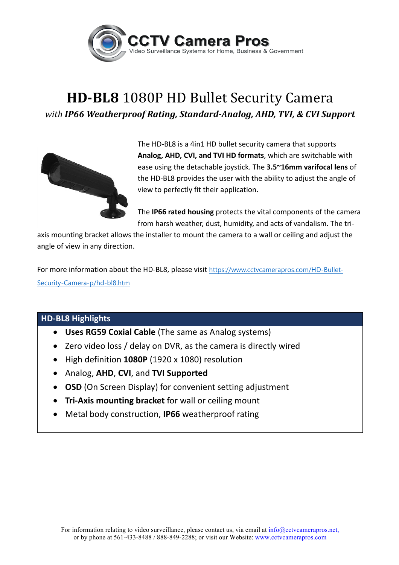

## **HD-BL8** 1080P HD Bullet Security Camera *with IP66 Weatherproof Rating, Standard-Analog, AHD, TVI, & CVI Support*



The HD-BL8 is a 4in1 HD bullet security camera that supports Analog, AHD, CVI, and TVI HD formats, which are switchable with ease using the detachable joystick. The **3.5~16mm varifocal lens** of the HD-BL8 provides the user with the ability to adjust the angle of view to perfectly fit their application.

The **IP66 rated housing** protects the vital components of the camera from harsh weather, dust, humidity, and acts of vandalism. The tri-

axis mounting bracket allows the installer to mount the camera to a wall or ceiling and adjust the angle of view in any direction.

For more information about the HD-BL8, please visit https://www.cctvcamerapros.com/HD-Bullet-Security-Camera-p/hd-bl8.htm

## **HD-BL8 Highlights**

- Uses RG59 Coxial Cable (The same as Analog systems)
- Zero video loss / delay on DVR, as the camera is directly wired
- High definition 1080P (1920 x 1080) resolution
- Analog, **AHD**, **CVI**, and **TVI Supported**
- **OSD** (On Screen Display) for convenient setting adjustment
- **Tri-Axis mounting bracket** for wall or ceiling mount
- Metal body construction, IP66 weatherproof rating